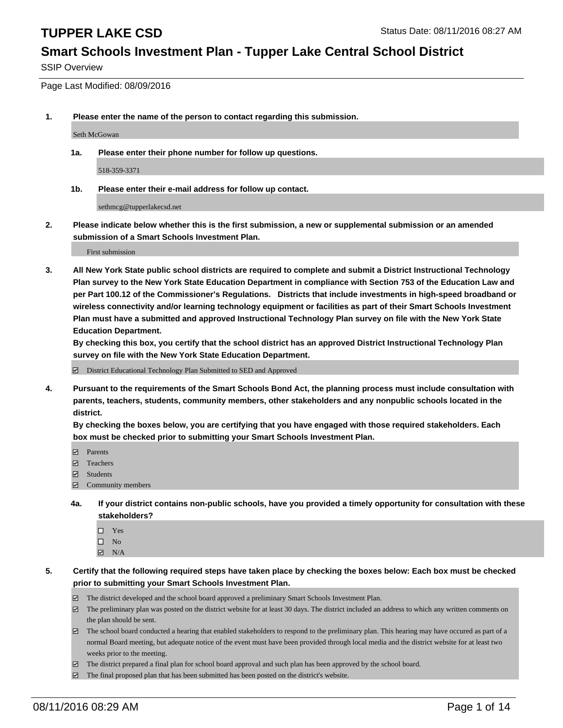#### **Smart Schools Investment Plan - Tupper Lake Central School District**

SSIP Overview

Page Last Modified: 08/09/2016

**1. Please enter the name of the person to contact regarding this submission.**

Seth McGowan

**1a. Please enter their phone number for follow up questions.**

518-359-3371

**1b. Please enter their e-mail address for follow up contact.**

sethmcg@tupperlakecsd.net

**2. Please indicate below whether this is the first submission, a new or supplemental submission or an amended submission of a Smart Schools Investment Plan.**

First submission

**3. All New York State public school districts are required to complete and submit a District Instructional Technology Plan survey to the New York State Education Department in compliance with Section 753 of the Education Law and per Part 100.12 of the Commissioner's Regulations. Districts that include investments in high-speed broadband or wireless connectivity and/or learning technology equipment or facilities as part of their Smart Schools Investment Plan must have a submitted and approved Instructional Technology Plan survey on file with the New York State Education Department.** 

**By checking this box, you certify that the school district has an approved District Instructional Technology Plan survey on file with the New York State Education Department.**

District Educational Technology Plan Submitted to SED and Approved

**4. Pursuant to the requirements of the Smart Schools Bond Act, the planning process must include consultation with parents, teachers, students, community members, other stakeholders and any nonpublic schools located in the district.** 

**By checking the boxes below, you are certifying that you have engaged with those required stakeholders. Each box must be checked prior to submitting your Smart Schools Investment Plan.**

- **Parents**
- Teachers
- $\blacksquare$  Students
- Community members
- **4a. If your district contains non-public schools, have you provided a timely opportunity for consultation with these stakeholders?**
	- $\Box$  Yes  $\square$  No
	- $\boxtimes$  N/A
- **5. Certify that the following required steps have taken place by checking the boxes below: Each box must be checked prior to submitting your Smart Schools Investment Plan.**
	- The district developed and the school board approved a preliminary Smart Schools Investment Plan.
	- $\boxdot$  The preliminary plan was posted on the district website for at least 30 days. The district included an address to which any written comments on the plan should be sent.
	- $\Box$  The school board conducted a hearing that enabled stakeholders to respond to the preliminary plan. This hearing may have occured as part of a normal Board meeting, but adequate notice of the event must have been provided through local media and the district website for at least two weeks prior to the meeting.
	- The district prepared a final plan for school board approval and such plan has been approved by the school board.
	- $\boxdot$  The final proposed plan that has been submitted has been posted on the district's website.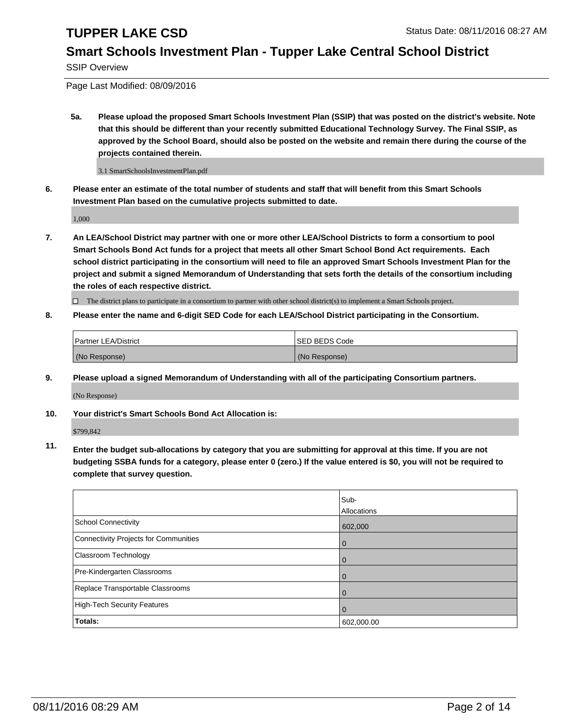#### **Smart Schools Investment Plan - Tupper Lake Central School District**

SSIP Overview

Page Last Modified: 08/09/2016

**5a. Please upload the proposed Smart Schools Investment Plan (SSIP) that was posted on the district's website. Note that this should be different than your recently submitted Educational Technology Survey. The Final SSIP, as approved by the School Board, should also be posted on the website and remain there during the course of the projects contained therein.**

3.1 SmartSchoolsInvestmentPlan.pdf

**6. Please enter an estimate of the total number of students and staff that will benefit from this Smart Schools Investment Plan based on the cumulative projects submitted to date.**

1,000

**7. An LEA/School District may partner with one or more other LEA/School Districts to form a consortium to pool Smart Schools Bond Act funds for a project that meets all other Smart School Bond Act requirements. Each school district participating in the consortium will need to file an approved Smart Schools Investment Plan for the project and submit a signed Memorandum of Understanding that sets forth the details of the consortium including the roles of each respective district.**

 $\Box$  The district plans to participate in a consortium to partner with other school district(s) to implement a Smart Schools project.

#### **8. Please enter the name and 6-digit SED Code for each LEA/School District participating in the Consortium.**

| <b>Partner LEA/District</b> | <b>ISED BEDS Code</b> |
|-----------------------------|-----------------------|
| (No Response)               | (No Response)         |

**9. Please upload a signed Memorandum of Understanding with all of the participating Consortium partners.**

(No Response)

**10. Your district's Smart Schools Bond Act Allocation is:**

\$799,842

**11. Enter the budget sub-allocations by category that you are submitting for approval at this time. If you are not budgeting SSBA funds for a category, please enter 0 (zero.) If the value entered is \$0, you will not be required to complete that survey question.**

|                                       | Sub-        |
|---------------------------------------|-------------|
|                                       | Allocations |
| <b>School Connectivity</b>            | 602,000     |
| Connectivity Projects for Communities | 0           |
| Classroom Technology                  | O           |
| Pre-Kindergarten Classrooms           |             |
| Replace Transportable Classrooms      |             |
| High-Tech Security Features           |             |
| <b>Totals:</b>                        | 602,000.00  |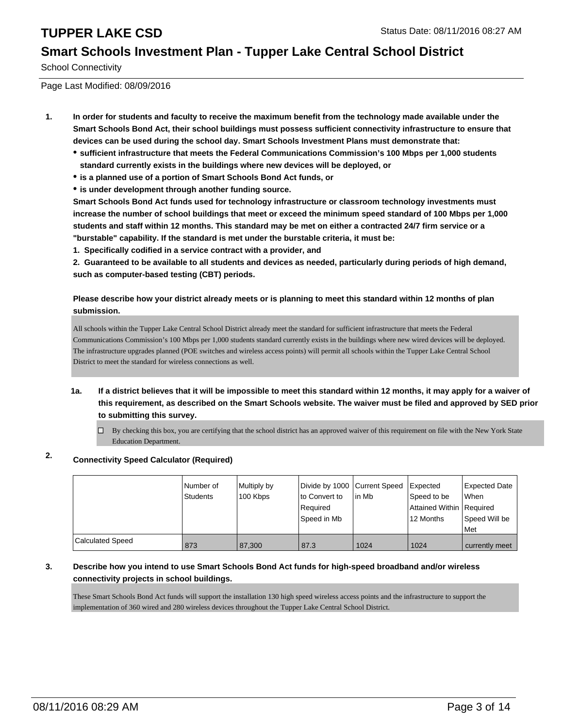#### **Smart Schools Investment Plan - Tupper Lake Central School District**

School Connectivity

Page Last Modified: 08/09/2016

- **1. In order for students and faculty to receive the maximum benefit from the technology made available under the Smart Schools Bond Act, their school buildings must possess sufficient connectivity infrastructure to ensure that devices can be used during the school day. Smart Schools Investment Plans must demonstrate that:**
	- **sufficient infrastructure that meets the Federal Communications Commission's 100 Mbps per 1,000 students standard currently exists in the buildings where new devices will be deployed, or**
	- **is a planned use of a portion of Smart Schools Bond Act funds, or**
	- **is under development through another funding source.**

**Smart Schools Bond Act funds used for technology infrastructure or classroom technology investments must increase the number of school buildings that meet or exceed the minimum speed standard of 100 Mbps per 1,000 students and staff within 12 months. This standard may be met on either a contracted 24/7 firm service or a "burstable" capability. If the standard is met under the burstable criteria, it must be:**

**1. Specifically codified in a service contract with a provider, and**

**2. Guaranteed to be available to all students and devices as needed, particularly during periods of high demand, such as computer-based testing (CBT) periods.**

#### **Please describe how your district already meets or is planning to meet this standard within 12 months of plan submission.**

All schools within the Tupper Lake Central School District already meet the standard for sufficient infrastructure that meets the Federal Communications Commission's 100 Mbps per 1,000 students standard currently exists in the buildings where new wired devices will be deployed. The infrastructure upgrades planned (POE switches and wireless access points) will permit all schools within the Tupper Lake Central School District to meet the standard for wireless connections as well.

- **1a. If a district believes that it will be impossible to meet this standard within 12 months, it may apply for a waiver of this requirement, as described on the Smart Schools website. The waiver must be filed and approved by SED prior to submitting this survey.**
	- $\Box$  By checking this box, you are certifying that the school district has an approved waiver of this requirement on file with the New York State Education Department.

#### **2. Connectivity Speed Calculator (Required)**

|                         | Number of<br>Students | Multiply by<br>100 Kbps | Divide by 1000 Current Speed<br>lto Convert to<br>l Reauired<br>Speed in Mb | lin Mb | Expected<br>Speed to be<br>Attained Within   Required<br>12 Months | Expected Date<br>lWhen<br>Speed Will be<br><b>Met</b> |
|-------------------------|-----------------------|-------------------------|-----------------------------------------------------------------------------|--------|--------------------------------------------------------------------|-------------------------------------------------------|
| <b>Calculated Speed</b> | 873                   | 87.300                  | 87.3                                                                        | 1024   | 1024                                                               | currently meet                                        |

#### **3. Describe how you intend to use Smart Schools Bond Act funds for high-speed broadband and/or wireless connectivity projects in school buildings.**

These Smart Schools Bond Act funds will support the installation 130 high speed wireless access points and the infrastructure to support the implementation of 360 wired and 280 wireless devices throughout the Tupper Lake Central School District.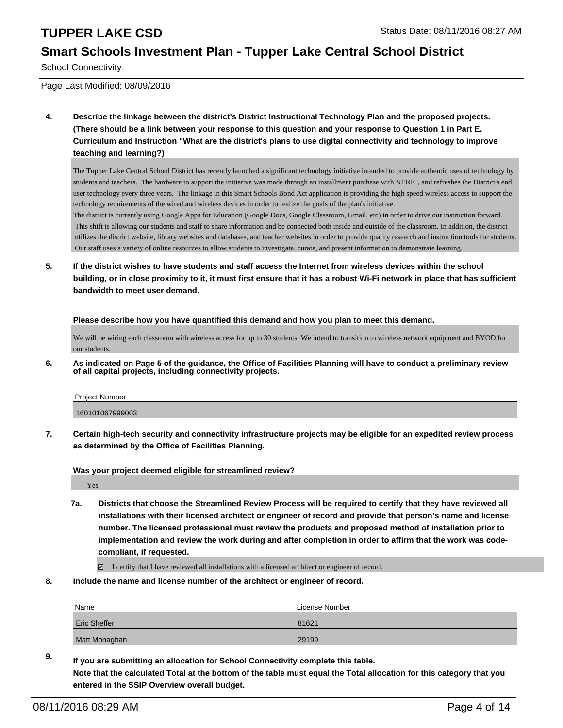#### **Smart Schools Investment Plan - Tupper Lake Central School District**

School Connectivity

Page Last Modified: 08/09/2016

**4. Describe the linkage between the district's District Instructional Technology Plan and the proposed projects. (There should be a link between your response to this question and your response to Question 1 in Part E. Curriculum and Instruction "What are the district's plans to use digital connectivity and technology to improve teaching and learning?)**

The Tupper Lake Central School District has recently launched a significant technology initiative intended to provide authentic uses of technology by students and teachers. The hardware to support the initiative was made through an installment purchase with NERIC, and refreshes the District's end user technology every three years. The linkage in this Smart Schools Bond Act application is providing the high speed wireless access to support the technology requirements of the wired and wireless devices in order to realize the goals of the plan's initiative.

The district is currently using Google Apps for Education (Google Docs, Google Classroom, Gmail, etc) in order to drive our instruction forward. This shift is allowing our students and staff to share information and be connected both inside and outside of the classroom. In addition, the district utilizes the district website, library websites and databases, and teacher websites in order to provide quality research and instruction tools for students. Our staff uses a variety of online resources to allow students to investigate, curate, and present information to demonstrate learning.

**5. If the district wishes to have students and staff access the Internet from wireless devices within the school building, or in close proximity to it, it must first ensure that it has a robust Wi-Fi network in place that has sufficient bandwidth to meet user demand.**

**Please describe how you have quantified this demand and how you plan to meet this demand.**

We will be wiring each classroom with wireless access for up to 30 students. We intend to transition to wireless network equipment and BYOD for our students.

**6. As indicated on Page 5 of the guidance, the Office of Facilities Planning will have to conduct a preliminary review of all capital projects, including connectivity projects.**

| <b>Project Number</b> |  |
|-----------------------|--|
| 160101067999003       |  |
|                       |  |

**7. Certain high-tech security and connectivity infrastructure projects may be eligible for an expedited review process as determined by the Office of Facilities Planning.**

**Was your project deemed eligible for streamlined review?**

Yes

**7a. Districts that choose the Streamlined Review Process will be required to certify that they have reviewed all installations with their licensed architect or engineer of record and provide that person's name and license number. The licensed professional must review the products and proposed method of installation prior to implementation and review the work during and after completion in order to affirm that the work was codecompliant, if requested.**

 $\Box$  I certify that I have reviewed all installations with a licensed architect or engineer of record.

**8. Include the name and license number of the architect or engineer of record.**

| <b>Name</b>         | License Number |
|---------------------|----------------|
| <b>Eric Sheffer</b> | 81621          |
| Matt Monaghan       | 29199          |

**9. If you are submitting an allocation for School Connectivity complete this table. Note that the calculated Total at the bottom of the table must equal the Total allocation for this category that you entered in the SSIP Overview overall budget.**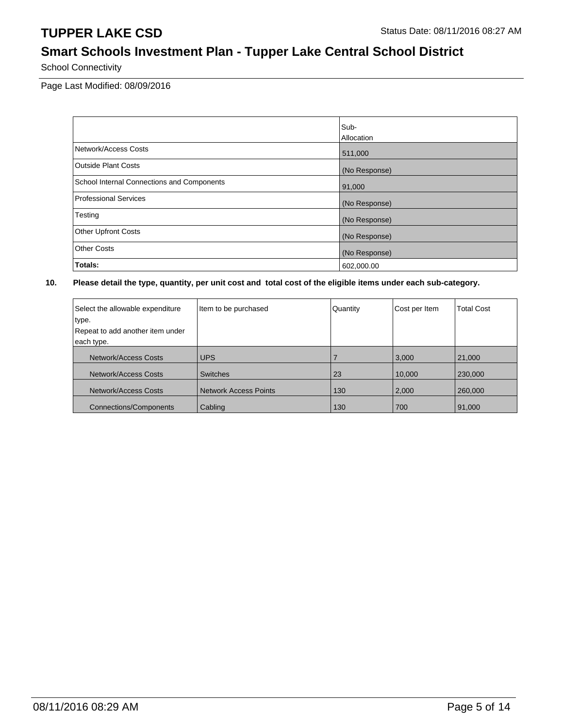## **Smart Schools Investment Plan - Tupper Lake Central School District**

School Connectivity

Page Last Modified: 08/09/2016

|                                            | Sub-          |
|--------------------------------------------|---------------|
|                                            | Allocation    |
| Network/Access Costs                       | 511,000       |
| <b>Outside Plant Costs</b>                 | (No Response) |
| School Internal Connections and Components | 91,000        |
| Professional Services                      | (No Response) |
| Testing                                    | (No Response) |
| <b>Other Upfront Costs</b>                 | (No Response) |
| <b>Other Costs</b>                         | (No Response) |
| Totals:                                    | 602,000.00    |

| Select the allowable expenditure<br>type.<br>Repeat to add another item under<br>each type. | Item to be purchased  | Quantity | Cost per Item | <b>Total Cost</b> |
|---------------------------------------------------------------------------------------------|-----------------------|----------|---------------|-------------------|
| Network/Access Costs                                                                        | <b>UPS</b>            |          | 3,000         | 21,000            |
| Network/Access Costs                                                                        | <b>Switches</b>       | 23       | 10,000        | 230,000           |
| Network/Access Costs                                                                        | Network Access Points | 130      | 2,000         | 260,000           |
| <b>Connections/Components</b>                                                               | Cabling               | 130      | 700           | 91,000            |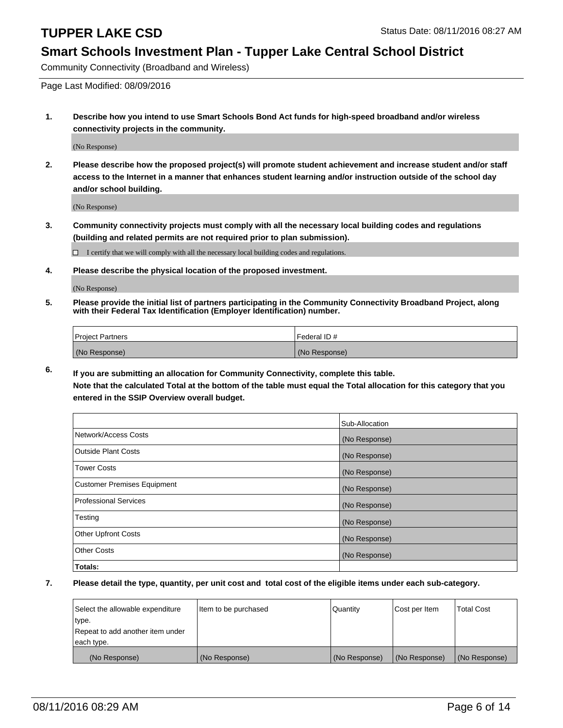#### **Smart Schools Investment Plan - Tupper Lake Central School District**

Community Connectivity (Broadband and Wireless)

Page Last Modified: 08/09/2016

**1. Describe how you intend to use Smart Schools Bond Act funds for high-speed broadband and/or wireless connectivity projects in the community.**

(No Response)

**2. Please describe how the proposed project(s) will promote student achievement and increase student and/or staff access to the Internet in a manner that enhances student learning and/or instruction outside of the school day and/or school building.**

(No Response)

**3. Community connectivity projects must comply with all the necessary local building codes and regulations (building and related permits are not required prior to plan submission).**

 $\Box$  I certify that we will comply with all the necessary local building codes and regulations.

**4. Please describe the physical location of the proposed investment.**

(No Response)

**5. Please provide the initial list of partners participating in the Community Connectivity Broadband Project, along with their Federal Tax Identification (Employer Identification) number.**

| Project Partners | <b>IFederal ID#</b> |
|------------------|---------------------|
| (No Response)    | (No Response)       |

**6. If you are submitting an allocation for Community Connectivity, complete this table. Note that the calculated Total at the bottom of the table must equal the Total allocation for this category that you**

**entered in the SSIP Overview overall budget.**

|                             | Sub-Allocation |
|-----------------------------|----------------|
| Network/Access Costs        | (No Response)  |
| <b>Outside Plant Costs</b>  | (No Response)  |
| Tower Costs                 | (No Response)  |
| Customer Premises Equipment | (No Response)  |
| Professional Services       | (No Response)  |
| Testing                     | (No Response)  |
| <b>Other Upfront Costs</b>  | (No Response)  |
| Other Costs                 | (No Response)  |
| Totals:                     |                |

| Select the allowable expenditure | Item to be purchased | Quantity      | Cost per Item | <b>Total Cost</b> |
|----------------------------------|----------------------|---------------|---------------|-------------------|
| type.                            |                      |               |               |                   |
| Repeat to add another item under |                      |               |               |                   |
| each type.                       |                      |               |               |                   |
| (No Response)                    | (No Response)        | (No Response) | (No Response) | (No Response)     |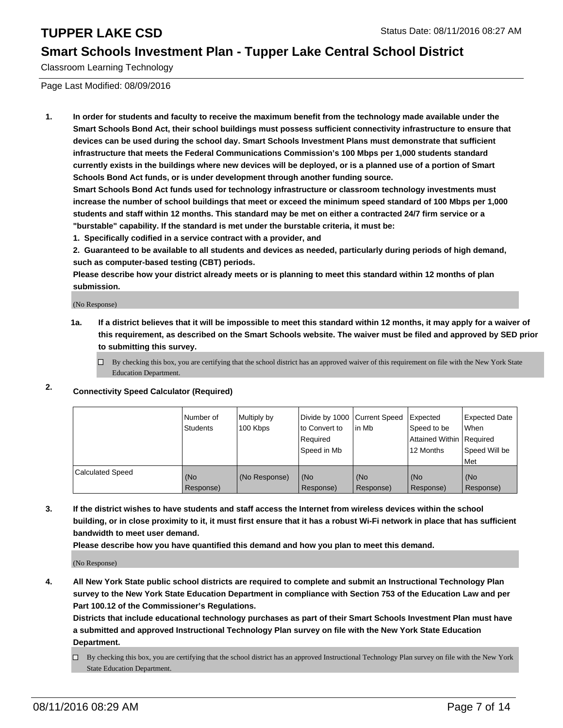#### **Smart Schools Investment Plan - Tupper Lake Central School District**

Classroom Learning Technology

Page Last Modified: 08/09/2016

**1. In order for students and faculty to receive the maximum benefit from the technology made available under the Smart Schools Bond Act, their school buildings must possess sufficient connectivity infrastructure to ensure that devices can be used during the school day. Smart Schools Investment Plans must demonstrate that sufficient infrastructure that meets the Federal Communications Commission's 100 Mbps per 1,000 students standard currently exists in the buildings where new devices will be deployed, or is a planned use of a portion of Smart Schools Bond Act funds, or is under development through another funding source.**

**Smart Schools Bond Act funds used for technology infrastructure or classroom technology investments must increase the number of school buildings that meet or exceed the minimum speed standard of 100 Mbps per 1,000 students and staff within 12 months. This standard may be met on either a contracted 24/7 firm service or a "burstable" capability. If the standard is met under the burstable criteria, it must be:**

**1. Specifically codified in a service contract with a provider, and**

**2. Guaranteed to be available to all students and devices as needed, particularly during periods of high demand, such as computer-based testing (CBT) periods.**

**Please describe how your district already meets or is planning to meet this standard within 12 months of plan submission.**

(No Response)

- **1a. If a district believes that it will be impossible to meet this standard within 12 months, it may apply for a waiver of this requirement, as described on the Smart Schools website. The waiver must be filed and approved by SED prior to submitting this survey.**
	- $\Box$  By checking this box, you are certifying that the school district has an approved waiver of this requirement on file with the New York State Education Department.
- **2. Connectivity Speed Calculator (Required)**

|                         | INumber of<br>Students | Multiply by<br>100 Kbps | Ito Convert to<br>Reauired<br>Speed in Mb | Divide by 1000 Current Speed Expected<br>lin Mb | Speed to be<br>Attained Within   Required<br>12 Months | <b>Expected Date</b><br>l When<br>Speed Will be<br>Met |
|-------------------------|------------------------|-------------------------|-------------------------------------------|-------------------------------------------------|--------------------------------------------------------|--------------------------------------------------------|
| <b>Calculated Speed</b> | (No<br>Response)       | (No Response)           | (No<br>Response)                          | (No<br>Response)                                | l (No<br>Response)                                     | (No<br>Response)                                       |

**3. If the district wishes to have students and staff access the Internet from wireless devices within the school building, or in close proximity to it, it must first ensure that it has a robust Wi-Fi network in place that has sufficient bandwidth to meet user demand.**

**Please describe how you have quantified this demand and how you plan to meet this demand.**

(No Response)

**4. All New York State public school districts are required to complete and submit an Instructional Technology Plan survey to the New York State Education Department in compliance with Section 753 of the Education Law and per Part 100.12 of the Commissioner's Regulations.**

**Districts that include educational technology purchases as part of their Smart Schools Investment Plan must have a submitted and approved Instructional Technology Plan survey on file with the New York State Education Department.**

By checking this box, you are certifying that the school district has an approved Instructional Technology Plan survey on file with the New York State Education Department.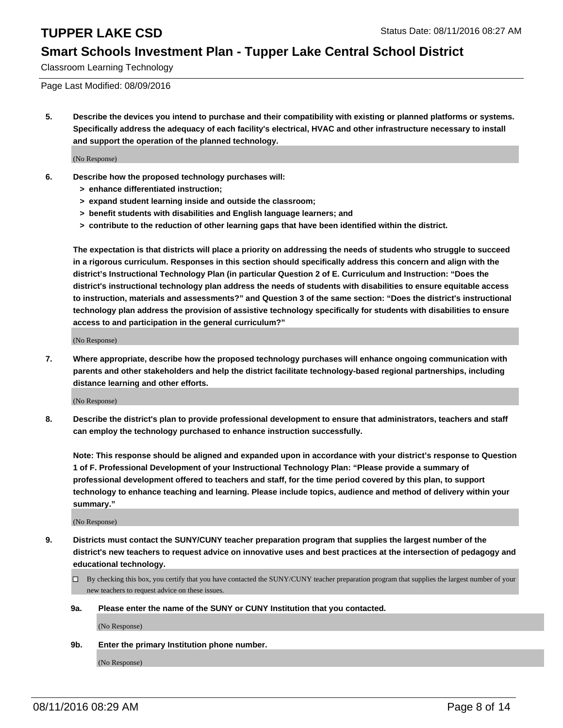#### **Smart Schools Investment Plan - Tupper Lake Central School District**

Classroom Learning Technology

Page Last Modified: 08/09/2016

**5. Describe the devices you intend to purchase and their compatibility with existing or planned platforms or systems. Specifically address the adequacy of each facility's electrical, HVAC and other infrastructure necessary to install and support the operation of the planned technology.**

(No Response)

- **6. Describe how the proposed technology purchases will:**
	- **> enhance differentiated instruction;**
	- **> expand student learning inside and outside the classroom;**
	- **> benefit students with disabilities and English language learners; and**
	- **> contribute to the reduction of other learning gaps that have been identified within the district.**

**The expectation is that districts will place a priority on addressing the needs of students who struggle to succeed in a rigorous curriculum. Responses in this section should specifically address this concern and align with the district's Instructional Technology Plan (in particular Question 2 of E. Curriculum and Instruction: "Does the district's instructional technology plan address the needs of students with disabilities to ensure equitable access to instruction, materials and assessments?" and Question 3 of the same section: "Does the district's instructional technology plan address the provision of assistive technology specifically for students with disabilities to ensure access to and participation in the general curriculum?"**

(No Response)

**7. Where appropriate, describe how the proposed technology purchases will enhance ongoing communication with parents and other stakeholders and help the district facilitate technology-based regional partnerships, including distance learning and other efforts.**

(No Response)

**8. Describe the district's plan to provide professional development to ensure that administrators, teachers and staff can employ the technology purchased to enhance instruction successfully.**

**Note: This response should be aligned and expanded upon in accordance with your district's response to Question 1 of F. Professional Development of your Instructional Technology Plan: "Please provide a summary of professional development offered to teachers and staff, for the time period covered by this plan, to support technology to enhance teaching and learning. Please include topics, audience and method of delivery within your summary."**

(No Response)

- **9. Districts must contact the SUNY/CUNY teacher preparation program that supplies the largest number of the district's new teachers to request advice on innovative uses and best practices at the intersection of pedagogy and educational technology.**
	- $\Box$  By checking this box, you certify that you have contacted the SUNY/CUNY teacher preparation program that supplies the largest number of your new teachers to request advice on these issues.
	- **9a. Please enter the name of the SUNY or CUNY Institution that you contacted.**

(No Response)

**9b. Enter the primary Institution phone number.**

(No Response)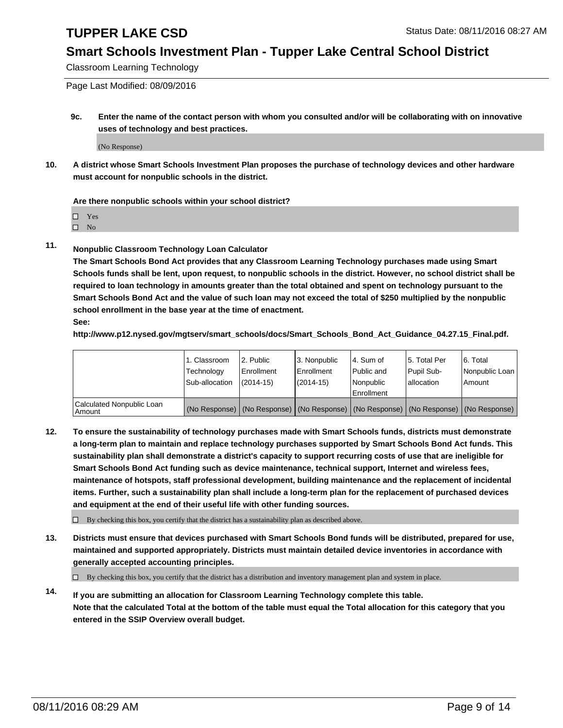#### **Smart Schools Investment Plan - Tupper Lake Central School District**

Classroom Learning Technology

Page Last Modified: 08/09/2016

**9c. Enter the name of the contact person with whom you consulted and/or will be collaborating with on innovative uses of technology and best practices.**

(No Response)

**10. A district whose Smart Schools Investment Plan proposes the purchase of technology devices and other hardware must account for nonpublic schools in the district.**

**Are there nonpublic schools within your school district?**

□ Yes

 $\hfill \square$  No

**11. Nonpublic Classroom Technology Loan Calculator**

**The Smart Schools Bond Act provides that any Classroom Learning Technology purchases made using Smart Schools funds shall be lent, upon request, to nonpublic schools in the district. However, no school district shall be required to loan technology in amounts greater than the total obtained and spent on technology pursuant to the Smart Schools Bond Act and the value of such loan may not exceed the total of \$250 multiplied by the nonpublic school enrollment in the base year at the time of enactment. See:**

**http://www.p12.nysed.gov/mgtserv/smart\_schools/docs/Smart\_Schools\_Bond\_Act\_Guidance\_04.27.15\_Final.pdf.**

|                                         | 1. Classroom<br>Technology | 2. Public<br><b>Enrollment</b> | 3. Nonpublic<br>Enrollment | l 4. Sum of<br>l Public and                                                                   | 5. Total Per<br>Pupil Sub- | 6. Total<br>Nonpublic Loan |
|-----------------------------------------|----------------------------|--------------------------------|----------------------------|-----------------------------------------------------------------------------------------------|----------------------------|----------------------------|
|                                         | Sub-allocation             | $(2014 - 15)$                  | $(2014 - 15)$              | Nonpublic<br>Enrollment                                                                       | lallocation                | Amount                     |
| Calculated Nonpublic Loan<br>l Amount i |                            |                                |                            | (No Response)   (No Response)   (No Response)   (No Response)   (No Response)   (No Response) |                            |                            |

**12. To ensure the sustainability of technology purchases made with Smart Schools funds, districts must demonstrate a long-term plan to maintain and replace technology purchases supported by Smart Schools Bond Act funds. This sustainability plan shall demonstrate a district's capacity to support recurring costs of use that are ineligible for Smart Schools Bond Act funding such as device maintenance, technical support, Internet and wireless fees, maintenance of hotspots, staff professional development, building maintenance and the replacement of incidental items. Further, such a sustainability plan shall include a long-term plan for the replacement of purchased devices and equipment at the end of their useful life with other funding sources.**

 $\square$  By checking this box, you certify that the district has a sustainability plan as described above.

**13. Districts must ensure that devices purchased with Smart Schools Bond funds will be distributed, prepared for use, maintained and supported appropriately. Districts must maintain detailed device inventories in accordance with generally accepted accounting principles.**

 $\Box$  By checking this box, you certify that the district has a distribution and inventory management plan and system in place.

**14. If you are submitting an allocation for Classroom Learning Technology complete this table. Note that the calculated Total at the bottom of the table must equal the Total allocation for this category that you entered in the SSIP Overview overall budget.**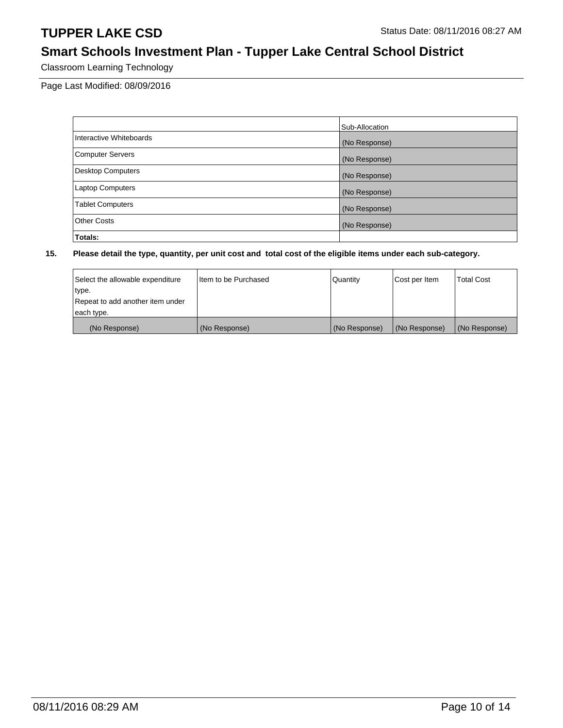## **Smart Schools Investment Plan - Tupper Lake Central School District**

Classroom Learning Technology

Page Last Modified: 08/09/2016

|                          | Sub-Allocation |
|--------------------------|----------------|
| Interactive Whiteboards  | (No Response)  |
| <b>Computer Servers</b>  | (No Response)  |
| <b>Desktop Computers</b> | (No Response)  |
| <b>Laptop Computers</b>  | (No Response)  |
| <b>Tablet Computers</b>  | (No Response)  |
| <b>Other Costs</b>       | (No Response)  |
| Totals:                  |                |

| Select the allowable expenditure | Iltem to be Purchased | Quantity      | Cost per Item | <b>Total Cost</b> |
|----------------------------------|-----------------------|---------------|---------------|-------------------|
| type.                            |                       |               |               |                   |
| Repeat to add another item under |                       |               |               |                   |
| each type.                       |                       |               |               |                   |
| (No Response)                    | (No Response)         | (No Response) | (No Response) | (No Response)     |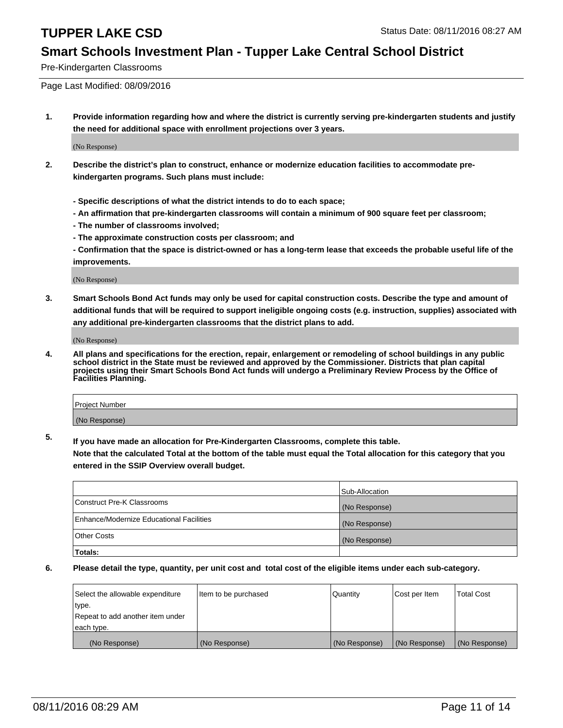#### **Smart Schools Investment Plan - Tupper Lake Central School District**

Pre-Kindergarten Classrooms

Page Last Modified: 08/09/2016

**1. Provide information regarding how and where the district is currently serving pre-kindergarten students and justify the need for additional space with enrollment projections over 3 years.**

(No Response)

- **2. Describe the district's plan to construct, enhance or modernize education facilities to accommodate prekindergarten programs. Such plans must include:**
	- **Specific descriptions of what the district intends to do to each space;**
	- **An affirmation that pre-kindergarten classrooms will contain a minimum of 900 square feet per classroom;**
	- **The number of classrooms involved;**
	- **The approximate construction costs per classroom; and**
	- **Confirmation that the space is district-owned or has a long-term lease that exceeds the probable useful life of the improvements.**

(No Response)

**3. Smart Schools Bond Act funds may only be used for capital construction costs. Describe the type and amount of additional funds that will be required to support ineligible ongoing costs (e.g. instruction, supplies) associated with any additional pre-kindergarten classrooms that the district plans to add.**

(No Response)

**4. All plans and specifications for the erection, repair, enlargement or remodeling of school buildings in any public school district in the State must be reviewed and approved by the Commissioner. Districts that plan capital projects using their Smart Schools Bond Act funds will undergo a Preliminary Review Process by the Office of Facilities Planning.**

| Project Number |  |
|----------------|--|
| (No Response)  |  |

**5. If you have made an allocation for Pre-Kindergarten Classrooms, complete this table.**

**Note that the calculated Total at the bottom of the table must equal the Total allocation for this category that you entered in the SSIP Overview overall budget.**

|                                          | Sub-Allocation |
|------------------------------------------|----------------|
| Construct Pre-K Classrooms               | (No Response)  |
| Enhance/Modernize Educational Facilities | (No Response)  |
| <b>Other Costs</b>                       | (No Response)  |
| Totals:                                  |                |

| Select the allowable expenditure | litem to be purchased | Quantity      | Cost per Item | <b>Total Cost</b> |
|----------------------------------|-----------------------|---------------|---------------|-------------------|
| type.                            |                       |               |               |                   |
| Repeat to add another item under |                       |               |               |                   |
| each type.                       |                       |               |               |                   |
| (No Response)                    | (No Response)         | (No Response) | (No Response) | (No Response)     |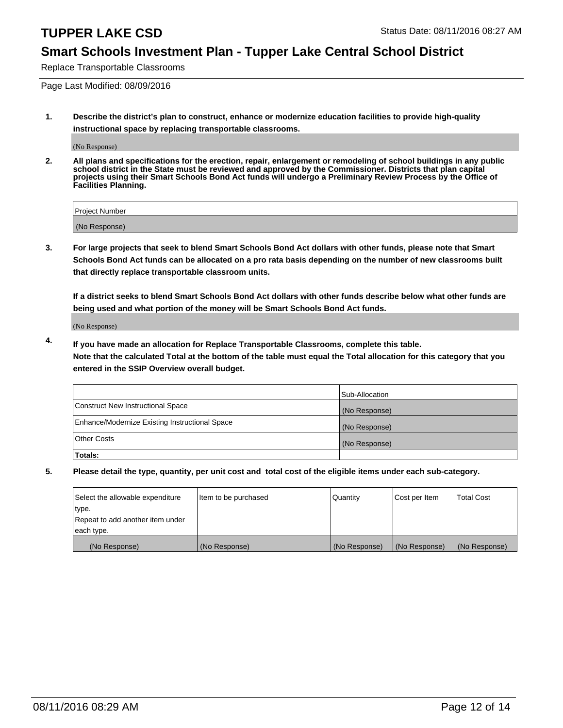#### **Smart Schools Investment Plan - Tupper Lake Central School District**

Replace Transportable Classrooms

Page Last Modified: 08/09/2016

**1. Describe the district's plan to construct, enhance or modernize education facilities to provide high-quality instructional space by replacing transportable classrooms.**

(No Response)

**2. All plans and specifications for the erection, repair, enlargement or remodeling of school buildings in any public school district in the State must be reviewed and approved by the Commissioner. Districts that plan capital projects using their Smart Schools Bond Act funds will undergo a Preliminary Review Process by the Office of Facilities Planning.**

| <b>Project Number</b> |  |
|-----------------------|--|
| (No Response)         |  |

**3. For large projects that seek to blend Smart Schools Bond Act dollars with other funds, please note that Smart Schools Bond Act funds can be allocated on a pro rata basis depending on the number of new classrooms built that directly replace transportable classroom units.**

**If a district seeks to blend Smart Schools Bond Act dollars with other funds describe below what other funds are being used and what portion of the money will be Smart Schools Bond Act funds.**

(No Response)

**4. If you have made an allocation for Replace Transportable Classrooms, complete this table. Note that the calculated Total at the bottom of the table must equal the Total allocation for this category that you entered in the SSIP Overview overall budget.**

|                                                | Sub-Allocation |
|------------------------------------------------|----------------|
| Construct New Instructional Space              | (No Response)  |
| Enhance/Modernize Existing Instructional Space | (No Response)  |
| Other Costs                                    | (No Response)  |
| Totals:                                        |                |

| Select the allowable expenditure | Item to be purchased | Quantity      | Cost per Item | <b>Total Cost</b> |
|----------------------------------|----------------------|---------------|---------------|-------------------|
| type.                            |                      |               |               |                   |
| Repeat to add another item under |                      |               |               |                   |
| each type.                       |                      |               |               |                   |
| (No Response)                    | (No Response)        | (No Response) | (No Response) | (No Response)     |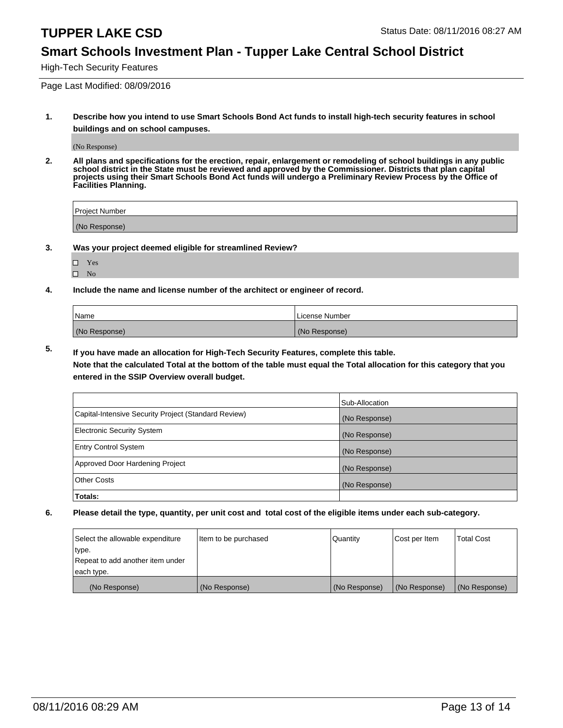#### **Smart Schools Investment Plan - Tupper Lake Central School District**

High-Tech Security Features

Page Last Modified: 08/09/2016

**1. Describe how you intend to use Smart Schools Bond Act funds to install high-tech security features in school buildings and on school campuses.**

(No Response)

**2. All plans and specifications for the erection, repair, enlargement or remodeling of school buildings in any public school district in the State must be reviewed and approved by the Commissioner. Districts that plan capital projects using their Smart Schools Bond Act funds will undergo a Preliminary Review Process by the Office of Facilities Planning.** 

| Proiect Number |  |
|----------------|--|
| (No Response)  |  |

**3. Was your project deemed eligible for streamlined Review?**

| ш | Yes |  |
|---|-----|--|
| ш | Nο  |  |

**4. Include the name and license number of the architect or engineer of record.**

| Name          | License Number |
|---------------|----------------|
| (No Response) | (No Response)  |

**5. If you have made an allocation for High-Tech Security Features, complete this table.**

**Note that the calculated Total at the bottom of the table must equal the Total allocation for this category that you entered in the SSIP Overview overall budget.**

|                                                      | Sub-Allocation |
|------------------------------------------------------|----------------|
| Capital-Intensive Security Project (Standard Review) | (No Response)  |
| <b>Electronic Security System</b>                    | (No Response)  |
| <b>Entry Control System</b>                          | (No Response)  |
| Approved Door Hardening Project                      | (No Response)  |
| <b>Other Costs</b>                                   | (No Response)  |
| Totals:                                              |                |

| Select the allowable expenditure | Item to be purchased | Quantity      | Cost per Item | <b>Total Cost</b> |
|----------------------------------|----------------------|---------------|---------------|-------------------|
| type.                            |                      |               |               |                   |
| Repeat to add another item under |                      |               |               |                   |
| each type.                       |                      |               |               |                   |
| (No Response)                    | (No Response)        | (No Response) | (No Response) | (No Response)     |